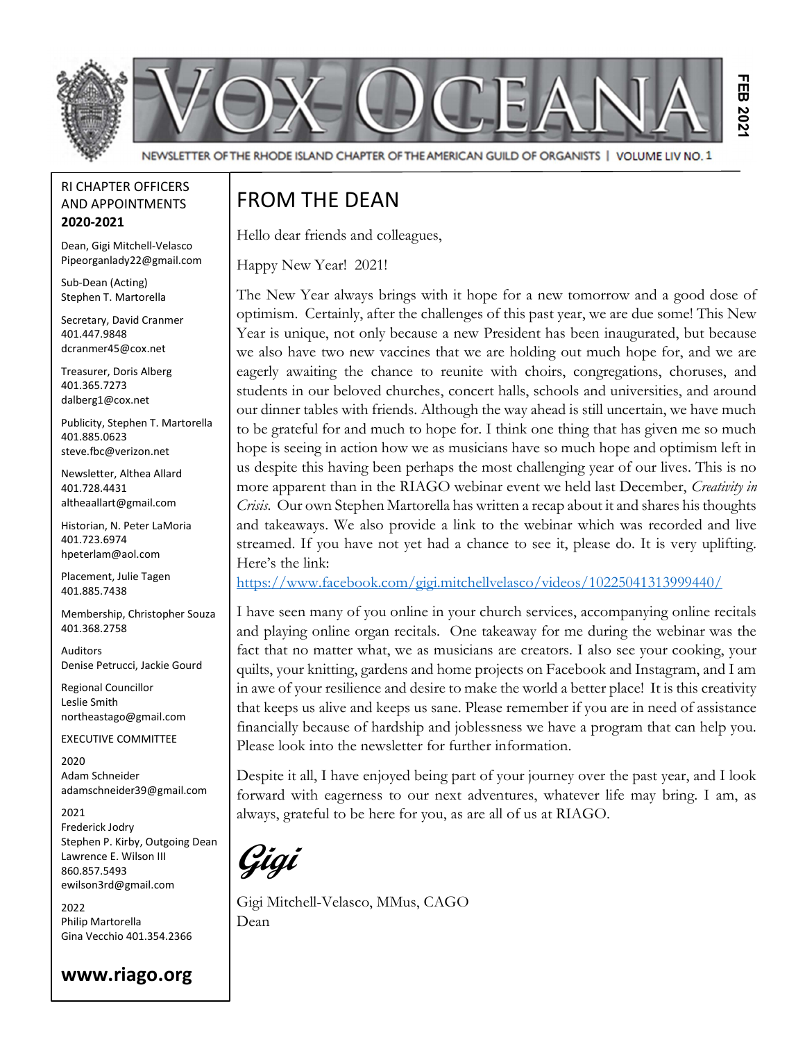

RI CHAPTER OFFICERS AND APPOINTMENTS 2020-2021

Dean, Gigi Mitchell-Velasco Pipeorganlady22@gmail.com

Sub-Dean (Acting) Stephen T. Martorella

Secretary, David Cranmer 401.447.9848 dcranmer45@cox.net

Treasurer, Doris Alberg 401.365.7273 dalberg1@cox.net

Publicity, Stephen T. Martorella 401.885.0623 steve.fbc@verizon.net

Newsletter, Althea Allard 401.728.4431 altheaallart@gmail.com

Historian, N. Peter LaMoria 401.723.6974 hpeterlam@aol.com

Placement, Julie Tagen 401.885.7438

Membership, Christopher Souza 401.368.2758

Auditors Denise Petrucci, Jackie Gourd

Regional Councillor Leslie Smith northeastago@gmail.com

EXECUTIVE COMMITTEE

2020 Adam Schneider adamschneider39@gmail.com

2021 Frederick Jodry Stephen P. Kirby, Outgoing Dean Lawrence E. Wilson III 860.857.5493 ewilson3rd@gmail.com

2022 Philip Martorella Gina Vecchio 401.354.2366

#### www.riago.org

### FROM THE DEAN

Hello dear friends and colleagues,

Happy New Year! 2021!

The New Year always brings with it hope for a new tomorrow and a good dose of optimism. Certainly, after the challenges of this past year, we are due some! This New Year is unique, not only because a new President has been inaugurated, but because we also have two new vaccines that we are holding out much hope for, and we are eagerly awaiting the chance to reunite with choirs, congregations, choruses, and students in our beloved churches, concert halls, schools and universities, and around our dinner tables with friends. Although the way ahead is still uncertain, we have much to be grateful for and much to hope for. I think one thing that has given me so much hope is seeing in action how we as musicians have so much hope and optimism left in us despite this having been perhaps the most challenging year of our lives. This is no more apparent than in the RIAGO webinar event we held last December, *Creativity in* Crisis. Our own Stephen Martorella has written a recap about it and shares his thoughts and takeaways. We also provide a link to the webinar which was recorded and live streamed. If you have not yet had a chance to see it, please do. It is very uplifting. Here's the link: **EXECUTE:**<br> **EXECUTE:**<br> **EXECUTE:**<br> **EXECUTE:**<br> **EXECUTE:**<br> **EXECUTE:**<br> **EXECUTE:**<br> **EXECUTE:**<br> **EXECUTE:**<br> **EXECUTE:**<br> **EXECUTE:**<br> **EXECUTE:**<br> **EXECUTE:**<br> **EXECUTE:**<br> **EXECUTE:**<br> **EXECUTE:**<br> **EXECUTE:**<br> **EXECUTE:**<br> **EXEC** 

https://www.facebook.com/gigi.mitchellvelasco/videos/10225041313999440/

I have seen many of you online in your church services, accompanying online recitals and playing online organ recitals. One takeaway for me during the webinar was the fact that no matter what, we as musicians are creators. I also see your cooking, your quilts, your knitting, gardens and home projects on Facebook and Instagram, and I am in awe of your resilience and desire to make the world a better place! It is this creativity that keeps us alive and keeps us sane. Please remember if you are in need of assistance financially because of hardship and joblessness we have a program that can help you. Please look into the newsletter for further information.

Despite it all, I have enjoyed being part of your journey over the past year, and I look forward with eagerness to our next adventures, whatever life may bring. I am, as always, grateful to be here for you, as are all of us at RIAGO.

Gigi

Gigi Mitchell-Velasco, MMus, CAGO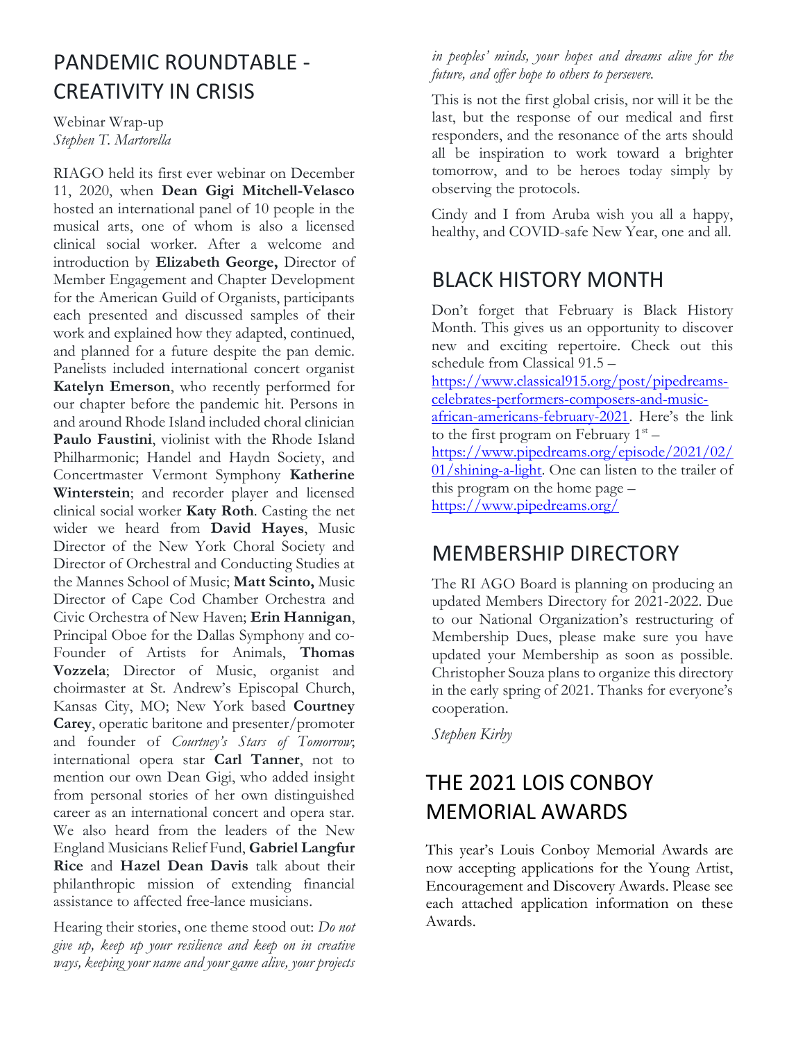## PANDEMIC ROUNDTABLE - CREATIVITY IN CRISIS

Webinar Wrap-up Stephen T. Martorella

RIAGO held its first ever webinar on December 11, 2020, when Dean Gigi Mitchell-Velasco hosted an international panel of 10 people in the musical arts, one of whom is also a licensed clinical social worker. After a welcome and introduction by Elizabeth George, Director of Member Engagement and Chapter Development for the American Guild of Organists, participants each presented and discussed samples of their work and explained how they adapted, continued, and planned for a future despite the pan demic. Panelists included international concert organist Katelyn Emerson, who recently performed for our chapter before the pandemic hit. Persons in and around Rhode Island included choral clinician Paulo Faustini, violinist with the Rhode Island Philharmonic; Handel and Haydn Society, and Concertmaster Vermont Symphony Katherine Winterstein; and recorder player and licensed clinical social worker Katy Roth. Casting the net wider we heard from David Hayes, Music Director of the New York Choral Society and Director of Orchestral and Conducting Studies at the Mannes School of Music; Matt Scinto, Music Director of Cape Cod Chamber Orchestra and Civic Orchestra of New Haven; Erin Hannigan, Principal Oboe for the Dallas Symphony and co-Founder of Artists for Animals, Thomas Vozzela; Director of Music, organist and choirmaster at St. Andrew's Episcopal Church, Kansas City, MO; New York based Courtney Carey, operatic baritone and presenter/promoter and founder of Courtney's Stars of Tomorrow; international opera star Carl Tanner, not to mention our own Dean Gigi, who added insight from personal stories of her own distinguished career as an international concert and opera star. We also heard from the leaders of the New England Musicians Relief Fund, Gabriel Langfur Rice and Hazel Dean Davis talk about their philanthropic mission of extending financial assistance to affected free-lance musicians.

Hearing their stories, one theme stood out: Do not give up, keep up your resilience and keep on in creative ways, keeping your name and your game alive, your projects

in peoples' minds, your hopes and dreams alive for the future, and offer hope to others to persevere.

This is not the first global crisis, nor will it be the last, but the response of our medical and first responders, and the resonance of the arts should all be inspiration to work toward a brighter tomorrow, and to be heroes today simply by observing the protocols.

Cindy and I from Aruba wish you all a happy, healthy, and COVID-safe New Year, one and all.

## BLACK HISTORY MONTH

Don't forget that February is Black History Month. This gives us an opportunity to discover new and exciting repertoire. Check out this schedule from Classical 91.5 –

https://www.classical915.org/post/pipedreamscelebrates-performers-composers-and-musicafrican-americans-february-2021. Here's the link to the first program on February  $1<sup>st</sup>$  – https://www.pipedreams.org/episode/2021/02/ 01/shining-a-light. One can listen to the trailer of this program on the home page – https://www.pipedreams.org/

## MEMBERSHIP DIRECTORY

The RI AGO Board is planning on producing an updated Members Directory for 2021-2022. Due to our National Organization's restructuring of Membership Dues, please make sure you have updated your Membership as soon as possible. Christopher Souza plans to organize this directory in the early spring of 2021. Thanks for everyone's cooperation.

Stephen Kirby

# THE 2021 LOIS CONBOY MEMORIAL AWARDS

This year's Louis Conboy Memorial Awards are now accepting applications for the Young Artist, Encouragement and Discovery Awards. Please see each attached application information on these Awards.